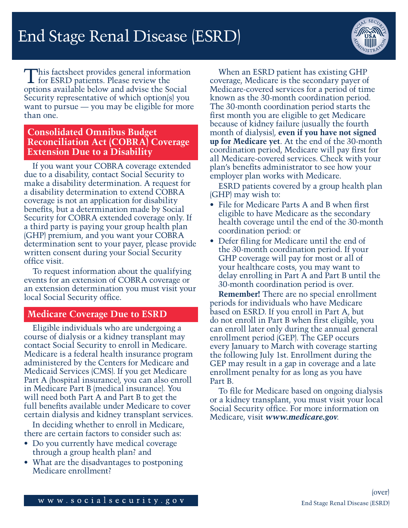

This factsheet provides general information for ESRD patients. Please review the options available below and advise the Social Security representative of which option(s) you want to pursue — you may be eligible for more than one.

## **Consolidated Omnibus Budget Reconciliation Act (COBRA) Coverage Extension Due to a Disability**

If you want your COBRA coverage extended due to a disability, contact Social Security to make a disability determination. A request for a disability determination to extend COBRA coverage is not an application for disability benefits, but a determination made by Social Security for COBRA extended coverage only. If a third party is paying your group health plan (GHP) premium, and you want your COBRA determination sent to your payer, please provide written consent during your Social Security office visit.

To request information about the qualifying events for an extension of COBRA coverage or an extension determination you must visit your local Social Security office.

## **Medicare Coverage Due to ESRD**

Eligible individuals who are undergoing a course of dialysis or a kidney transplant may contact Social Security to enroll in Medicare. Medicare is a federal health insurance program administered by the Centers for Medicare and Medicaid Services (CMS). If you get Medicare Part A (hospital insurance), you can also enroll in Medicare Part B (medical insurance). You will need both Part A and Part B to get the full benefits available under Medicare to cover certain dialysis and kidney transplant services.

In deciding whether to enroll in Medicare, there are certain factors to consider such as:

- Do you currently have medical coverage through a group health plan? and
- What are the disadvantages to postponing Medicare enrollment?

When an ESRD patient has existing GHP coverage, Medicare is the secondary payer of Medicare-covered services for a period of time known as the 30-month coordination period. The 30-month coordination period starts the first month you are eligible to get Medicare because of kidney failure (usually the fourth month of dialysis), **even if you have not signed up for Medicare yet**. At the end of the 30-month coordination period, Medicare will pay first for all Medicare-covered services. Check with your plan's benefits administrator to see how your employer plan works with Medicare.

ESRD patients covered by a group health plan (GHP) may wish to:

- File for Medicare Parts A and B when first eligible to have Medicare as the secondary health coverage until the end of the 30-month coordination period: or
- Defer filing for Medicare until the end of the 30-month coordination period. If your GHP coverage will pay for most or all of your healthcare costs, you may want to delay enrolling in Part A and Part B until the 30-month coordination period is over.

**Remember!** There are no special enrollment periods for individuals who have Medicare based on ESRD. If you enroll in Part A, but do not enroll in Part B when first eligible, you can enroll later only during the annual general enrollment period (GEP). The GEP occurs every January to March with coverage starting the following July 1st. Enrollment during the GEP may result in a gap in coverage and a late enrollment penalty for as long as you have Part B.

To file for Medicare based on ongoing dialysis or a kidney transplant, you must visit your local Social Security office. For more information on Medicare, visit *[www.medicare.gov](http://www.medicare.gov)*.